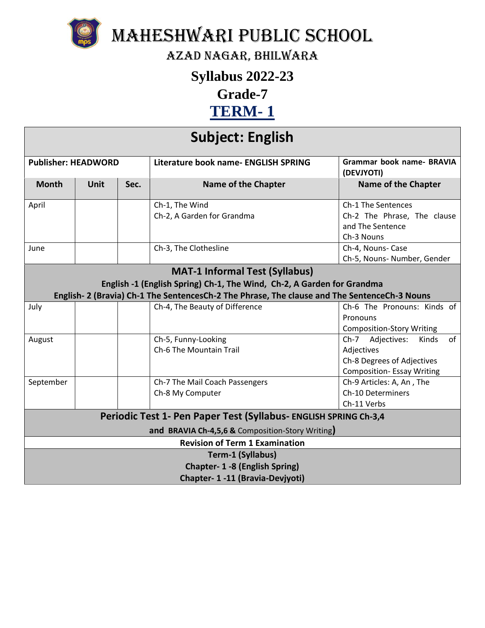

Maheshwari Public School

Azad Nagar, Bhilwara

## **Syllabus 2022-23**

**Grade-7**

## **TERM- 1**

## **Subject: English**

| <b>Publisher: HEADWORD</b>                                       |             |      | Literature book name- ENGLISH SPRING                                                        | <b>Grammar book name- BRAVIA</b><br>(DEVJYOTI) |  |
|------------------------------------------------------------------|-------------|------|---------------------------------------------------------------------------------------------|------------------------------------------------|--|
| <b>Month</b>                                                     | <b>Unit</b> | Sec. | <b>Name of the Chapter</b>                                                                  | <b>Name of the Chapter</b>                     |  |
| April                                                            |             |      | Ch-1, The Wind                                                                              | Ch-1 The Sentences                             |  |
|                                                                  |             |      | Ch-2, A Garden for Grandma                                                                  | Ch-2 The Phrase, The clause                    |  |
|                                                                  |             |      |                                                                                             | and The Sentence                               |  |
|                                                                  |             |      |                                                                                             | Ch-3 Nouns                                     |  |
| June                                                             |             |      | Ch-3, The Clothesline                                                                       | Ch-4, Nouns- Case                              |  |
|                                                                  |             |      |                                                                                             | Ch-5, Nouns- Number, Gender                    |  |
|                                                                  |             |      | <b>MAT-1 Informal Test (Syllabus)</b>                                                       |                                                |  |
|                                                                  |             |      | English -1 (English Spring) Ch-1, The Wind, Ch-2, A Garden for Grandma                      |                                                |  |
|                                                                  |             |      | English-2 (Bravia) Ch-1 The SentencesCh-2 The Phrase, The clause and The SentenceCh-3 Nouns |                                                |  |
| July                                                             |             |      | Ch-4, The Beauty of Difference                                                              | Ch-6 The Pronouns: Kinds of                    |  |
|                                                                  |             |      |                                                                                             | Pronouns                                       |  |
|                                                                  |             |      |                                                                                             | <b>Composition-Story Writing</b>               |  |
| August                                                           |             |      | Ch-5, Funny-Looking                                                                         | Adjectives:<br>of<br>$Ch-7$<br>Kinds           |  |
|                                                                  |             |      | Ch-6 The Mountain Trail                                                                     | Adjectives                                     |  |
|                                                                  |             |      |                                                                                             | Ch-8 Degrees of Adjectives                     |  |
|                                                                  |             |      |                                                                                             | <b>Composition-Essay Writing</b>               |  |
| September                                                        |             |      | Ch-7 The Mail Coach Passengers                                                              | Ch-9 Articles: A, An, The                      |  |
|                                                                  |             |      | Ch-8 My Computer                                                                            | <b>Ch-10 Determiners</b>                       |  |
|                                                                  |             |      |                                                                                             | Ch-11 Verbs                                    |  |
| Periodic Test 1- Pen Paper Test (Syllabus- ENGLISH SPRING Ch-3,4 |             |      |                                                                                             |                                                |  |
| and BRAVIA Ch-4,5,6 & Composition-Story Writing)                 |             |      |                                                                                             |                                                |  |
|                                                                  |             |      | <b>Revision of Term 1 Examination</b>                                                       |                                                |  |
| Term-1 (Syllabus)                                                |             |      |                                                                                             |                                                |  |
| Chapter- 1 -8 (English Spring)                                   |             |      |                                                                                             |                                                |  |
| Chapter- 1-11 (Bravia-Devjyoti)                                  |             |      |                                                                                             |                                                |  |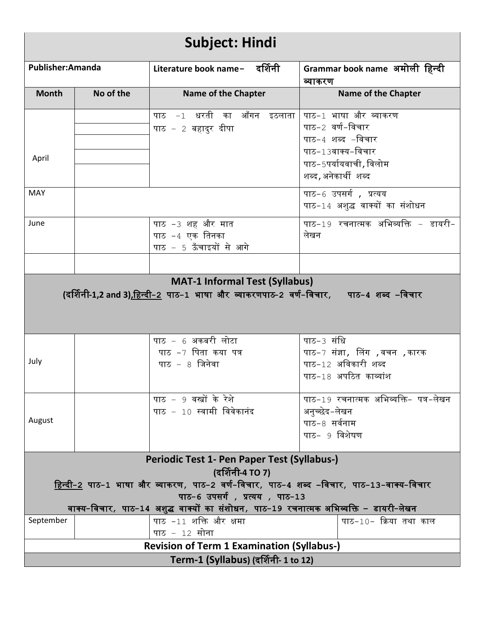| <b>Subject: Hindi</b>                                                                                  |                                                                                                                                           |                                                                                                            |                                                      |  |  |
|--------------------------------------------------------------------------------------------------------|-------------------------------------------------------------------------------------------------------------------------------------------|------------------------------------------------------------------------------------------------------------|------------------------------------------------------|--|--|
| Publisher:Amanda                                                                                       |                                                                                                                                           | Literature book name- दर्शिनी                                                                              | Grammar book name अमोली हिन्दी<br>व्याकरण            |  |  |
| <b>Month</b>                                                                                           | No of the                                                                                                                                 | <b>Name of the Chapter</b>                                                                                 | <b>Name of the Chapter</b>                           |  |  |
|                                                                                                        |                                                                                                                                           | पाठ −1 धरती का आँगन इठलाता                                                                                 | पाठ-1 भाषा और व्याकरण                                |  |  |
|                                                                                                        |                                                                                                                                           | पाठ – 2 बहादुर दीपा                                                                                        | पाठ−2 वर्ण−विचार<br>पाठ-4 शब्द -विचार                |  |  |
|                                                                                                        |                                                                                                                                           |                                                                                                            | पाठ-13वाक्य-विचार                                    |  |  |
| April                                                                                                  |                                                                                                                                           |                                                                                                            | पाठ-5पर्यायवाची, विलोम                               |  |  |
|                                                                                                        |                                                                                                                                           |                                                                                                            | शब्द,अनेकार्थी शब्द                                  |  |  |
| <b>MAY</b>                                                                                             |                                                                                                                                           |                                                                                                            | पाठ-6 उपसर्ग, प्रत्यय                                |  |  |
|                                                                                                        |                                                                                                                                           |                                                                                                            | पाठ-14 अशुद्ध वाक्यों का संशोधन                      |  |  |
| June                                                                                                   |                                                                                                                                           | पाठ -3 शह और मात                                                                                           | पाठ-19 रचनात्मक अभिव्यक्ति – डायरी-                  |  |  |
|                                                                                                        |                                                                                                                                           | पाठ -4 एक तिनका                                                                                            | लेखन                                                 |  |  |
|                                                                                                        |                                                                                                                                           | पाठ - 5 ऊँचाइयों से आगे                                                                                    |                                                      |  |  |
|                                                                                                        |                                                                                                                                           |                                                                                                            |                                                      |  |  |
|                                                                                                        |                                                                                                                                           | <b>MAT-1 Informal Test (Syllabus)</b>                                                                      |                                                      |  |  |
|                                                                                                        |                                                                                                                                           | (दर्शिनी-1,2 and 3) <u>,हिन्दी−2</u> पाठ−1  भाषा और  व्याकरणपाठ-2  वर्ण−विचार <i>,</i> पाठ−4  शब्द  –विचार |                                                      |  |  |
|                                                                                                        |                                                                                                                                           |                                                                                                            |                                                      |  |  |
|                                                                                                        |                                                                                                                                           |                                                                                                            |                                                      |  |  |
|                                                                                                        |                                                                                                                                           | पाठ – 6 अकबरी लोटा<br>पाठ -7 पिता कया पत्र                                                                 | पाठ-3 संधि                                           |  |  |
| July                                                                                                   |                                                                                                                                           | पाठ $-8$ जिनेवा                                                                                            | पाठ−7 संज्ञा, लिंग ,वचन ,कारक<br>पाठ-12 अविकारी शब्द |  |  |
|                                                                                                        |                                                                                                                                           |                                                                                                            | पाठ-18 अपठित काव्यांश                                |  |  |
|                                                                                                        |                                                                                                                                           |                                                                                                            |                                                      |  |  |
|                                                                                                        |                                                                                                                                           | पाठ – 9 वस्त्रों के रेशे                                                                                   | पाठ−19 रचनात्मक अभिव्यक्ति− पत्र−लेखन                |  |  |
| August                                                                                                 |                                                                                                                                           | पाठ – 10 स्वामी विवेकानंद                                                                                  | अनुच्छेद-लेखन                                        |  |  |
|                                                                                                        |                                                                                                                                           |                                                                                                            | पाठ-8 सर्वनाम<br>पाठ- 9 विशेषण                       |  |  |
|                                                                                                        |                                                                                                                                           |                                                                                                            |                                                      |  |  |
| Periodic Test 1- Pen Paper Test (Syllabus-)                                                            |                                                                                                                                           |                                                                                                            |                                                      |  |  |
| (दर्शिनी-4 TO 7)                                                                                       |                                                                                                                                           |                                                                                                            |                                                      |  |  |
| <u>हिन्दी-2</u> पाठ-1 भाषा और व्याकरण <i>,</i> पाठ-2 वर्ण-विचार, पाठ-4 शब्द –विचार, पाठ-13-वाक्य-विचार |                                                                                                                                           |                                                                                                            |                                                      |  |  |
| पाठ-6 उपसर्ग, प्रत्यय, पाठ-13                                                                          |                                                                                                                                           |                                                                                                            |                                                      |  |  |
| September                                                                                              | वाक्य-विचार, पाठ-14 अशुद्ध वाक्यों का संशोधन, पाठ-19 रचनात्मक अभिव्यक्ति – डायरी-लेखन<br>पाठ -11 शक्ति और क्षमा<br>पाठ-10- क्रिया तथा काल |                                                                                                            |                                                      |  |  |
|                                                                                                        |                                                                                                                                           | पाठ – 12 सोना                                                                                              |                                                      |  |  |
| <b>Revision of Term 1 Examination (Syllabus-)</b>                                                      |                                                                                                                                           |                                                                                                            |                                                      |  |  |
| Term-1 (Syllabus) (दर्शिनी- 1 to 12)                                                                   |                                                                                                                                           |                                                                                                            |                                                      |  |  |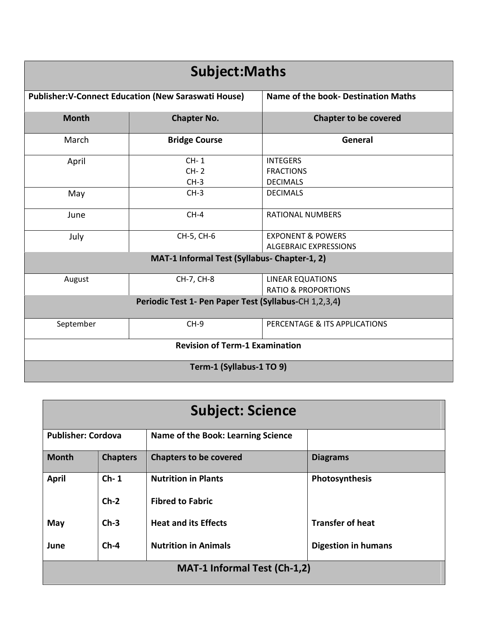| <b>Subject: Maths</b>                                                                              |                            |                                                              |  |  |
|----------------------------------------------------------------------------------------------------|----------------------------|--------------------------------------------------------------|--|--|
| Name of the book- Destination Maths<br><b>Publisher: V-Connect Education (New Saraswati House)</b> |                            |                                                              |  |  |
| <b>Month</b>                                                                                       | <b>Chapter No.</b>         | <b>Chapter to be covered</b>                                 |  |  |
| March                                                                                              | <b>Bridge Course</b>       | General                                                      |  |  |
| April                                                                                              | $CH-1$<br>$CH-2$<br>$CH-3$ | <b>INTEGERS</b><br><b>FRACTIONS</b><br><b>DECIMALS</b>       |  |  |
| May                                                                                                | $CH-3$                     | <b>DECIMALS</b>                                              |  |  |
| June                                                                                               | $CH-4$                     | <b>RATIONAL NUMBERS</b>                                      |  |  |
| July                                                                                               | CH-5, CH-6                 | <b>EXPONENT &amp; POWERS</b><br><b>ALGEBRAIC EXPRESSIONS</b> |  |  |
| MAT-1 Informal Test (Syllabus- Chapter-1, 2)                                                       |                            |                                                              |  |  |
| August                                                                                             | CH-7, CH-8                 | <b>LINEAR EQUATIONS</b><br><b>RATIO &amp; PROPORTIONS</b>    |  |  |
| Periodic Test 1- Pen Paper Test (Syllabus-CH 1,2,3,4)                                              |                            |                                                              |  |  |
| September                                                                                          | $CH-9$                     | PERCENTAGE & ITS APPLICATIONS                                |  |  |
| <b>Revision of Term-1 Examination</b>                                                              |                            |                                                              |  |  |
| Term-1 (Syllabus-1 TO 9)                                                                           |                            |                                                              |  |  |

| <b>Subject: Science</b>             |                 |                                    |                            |  |
|-------------------------------------|-----------------|------------------------------------|----------------------------|--|
| <b>Publisher: Cordova</b>           |                 | Name of the Book: Learning Science |                            |  |
| <b>Month</b>                        | <b>Chapters</b> | <b>Chapters to be covered</b>      | <b>Diagrams</b>            |  |
| <b>April</b>                        | $Ch-1$          | <b>Nutrition in Plants</b>         | Photosynthesis             |  |
|                                     | $Ch-2$          | <b>Fibred to Fabric</b>            |                            |  |
| May                                 | $Ch-3$          | <b>Heat and its Effects</b>        | <b>Transfer of heat</b>    |  |
| June                                | $Ch-4$          | <b>Nutrition in Animals</b>        | <b>Digestion in humans</b> |  |
| <b>MAT-1 Informal Test (Ch-1,2)</b> |                 |                                    |                            |  |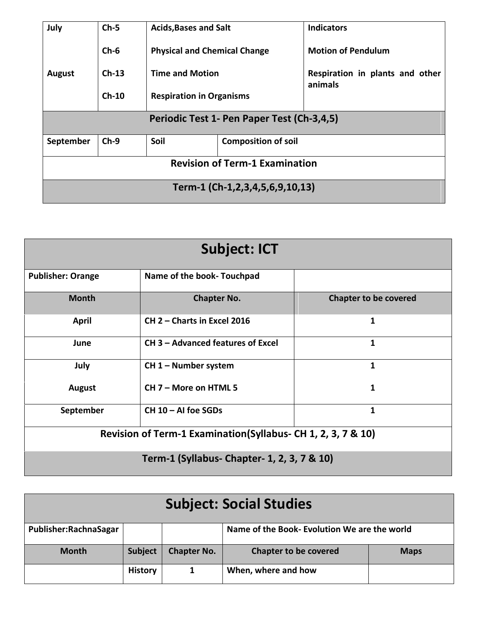| July                                       | $Ch-5$  | <b>Acids, Bases and Salt</b>        |                            | <b>Indicators</b>                          |  |
|--------------------------------------------|---------|-------------------------------------|----------------------------|--------------------------------------------|--|
|                                            | $Ch-6$  | <b>Physical and Chemical Change</b> |                            | <b>Motion of Pendulum</b>                  |  |
| <b>August</b>                              | $Ch-13$ | <b>Time and Motion</b>              |                            | Respiration in plants and other<br>animals |  |
|                                            | $Ch-10$ | <b>Respiration in Organisms</b>     |                            |                                            |  |
| Periodic Test 1- Pen Paper Test (Ch-3,4,5) |         |                                     |                            |                                            |  |
|                                            | $Ch-9$  | Soil                                |                            |                                            |  |
| September                                  |         |                                     | <b>Composition of soil</b> |                                            |  |
| <b>Revision of Term-1 Examination</b>      |         |                                     |                            |                                            |  |
| Term-1 (Ch-1,2,3,4,5,6,9,10,13)            |         |                                     |                            |                                            |  |

| <b>Subject: ICT</b>                                           |                                   |                              |  |  |
|---------------------------------------------------------------|-----------------------------------|------------------------------|--|--|
| <b>Publisher: Orange</b>                                      | Name of the book- Touchpad        |                              |  |  |
| <b>Month</b>                                                  | <b>Chapter No.</b>                | <b>Chapter to be covered</b> |  |  |
| <b>April</b>                                                  | CH 2 - Charts in Excel 2016       | 1                            |  |  |
| June                                                          | CH 3 – Advanced features of Excel | 1                            |  |  |
| July                                                          | CH 1 - Number system              | 1                            |  |  |
| August                                                        | CH 7 - More on HTML 5             | 1                            |  |  |
| September                                                     | $CH 10 - AI$ foe SGDs             | 1                            |  |  |
| Revision of Term-1 Examination (Syllabus- CH 1, 2, 3, 7 & 10) |                                   |                              |  |  |
| Term-1 (Syllabus- Chapter- 1, 2, 3, 7 & 10)                   |                                   |                              |  |  |

| <b>Subject: Social Studies</b> |                |                    |                                              |             |
|--------------------------------|----------------|--------------------|----------------------------------------------|-------------|
| Publisher:RachnaSagar          |                |                    | Name of the Book- Evolution We are the world |             |
| <b>Month</b>                   | <b>Subject</b> | <b>Chapter No.</b> | <b>Chapter to be covered</b>                 | <b>Maps</b> |
|                                | <b>History</b> | 1                  | When, where and how                          |             |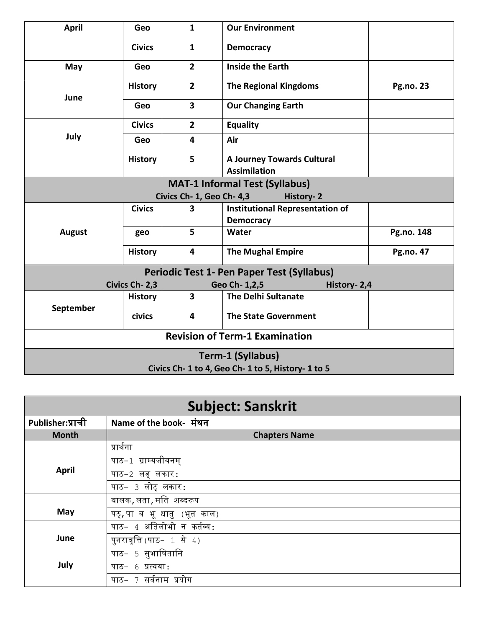| <b>April</b>                          | Geo                                                | $\mathbf{1}$              | <b>Our Environment</b>                            |                  |  |
|---------------------------------------|----------------------------------------------------|---------------------------|---------------------------------------------------|------------------|--|
|                                       | <b>Civics</b>                                      | $\mathbf{1}$              | <b>Democracy</b>                                  |                  |  |
| May                                   | Geo                                                | $\overline{2}$            | <b>Inside the Earth</b>                           |                  |  |
| June                                  | <b>History</b>                                     | $\overline{2}$            | <b>The Regional Kingdoms</b>                      | <b>Pg.no. 23</b> |  |
|                                       | Geo                                                | $\overline{\mathbf{3}}$   | <b>Our Changing Earth</b>                         |                  |  |
|                                       | <b>Civics</b>                                      | $\overline{2}$            | Equality                                          |                  |  |
| July                                  | Geo                                                | 4                         | Air                                               |                  |  |
|                                       | <b>History</b>                                     | 5                         | <b>A Journey Towards Cultural</b>                 |                  |  |
|                                       |                                                    |                           | <b>Assimilation</b>                               |                  |  |
| <b>MAT-1 Informal Test (Syllabus)</b> |                                                    |                           |                                                   |                  |  |
|                                       |                                                    | Civics Ch- 1, Geo Ch- 4,3 | <b>History-2</b>                                  |                  |  |
|                                       | <b>Civics</b>                                      | 3                         | <b>Institutional Representation of</b>            |                  |  |
|                                       |                                                    |                           | <b>Democracy</b>                                  |                  |  |
| <b>August</b>                         | geo                                                | 5                         | Water                                             | Pg.no. 148       |  |
|                                       | <b>History</b>                                     | $\overline{\mathbf{4}}$   | <b>The Mughal Empire</b>                          | <b>Pg.no. 47</b> |  |
|                                       |                                                    |                           | <b>Periodic Test 1- Pen Paper Test (Syllabus)</b> |                  |  |
|                                       | Civics Ch-2,3                                      |                           | Geo Ch-1,2,5<br>History- 2,4                      |                  |  |
| September                             | <b>History</b>                                     | $\overline{\mathbf{3}}$   | <b>The Delhi Sultanate</b>                        |                  |  |
|                                       | civics                                             | 4                         | <b>The State Government</b>                       |                  |  |
| <b>Revision of Term-1 Examination</b> |                                                    |                           |                                                   |                  |  |
| <b>Term-1 (Syllabus)</b>              |                                                    |                           |                                                   |                  |  |
|                                       | Civics Ch- 1 to 4, Geo Ch- 1 to 5, History- 1 to 5 |                           |                                                   |                  |  |
|                                       |                                                    |                           |                                                   |                  |  |

| <b>Subject: Sanskrit</b> |                            |  |  |
|--------------------------|----------------------------|--|--|
| Publisher:प्राची         | Name of the book- मंथन     |  |  |
| <b>Month</b>             | <b>Chapters Name</b>       |  |  |
|                          | प्रार्थना                  |  |  |
|                          | पाठ-1 ग्राम्यजीवनम्        |  |  |
| April                    | पाठ−2 लड् लकार∶            |  |  |
|                          | पाठ- 3 लोट् लकार:          |  |  |
|                          | बालक, लता, मति शब्दरूप     |  |  |
| May                      | पठ्,पा व भू धातु (भूत काल) |  |  |
|                          | पाठ- 4 अतिलोभो न कर्तव्य:  |  |  |
| June                     | पुनरावृत्ति (पाठ- 1 से 4)  |  |  |
|                          | पाठ- 5 सुभाषितानि          |  |  |
| July                     | 6 प्रत्यया:<br>पाठ-        |  |  |
|                          | सर्वनाम प्रयोग<br>पाठ–     |  |  |